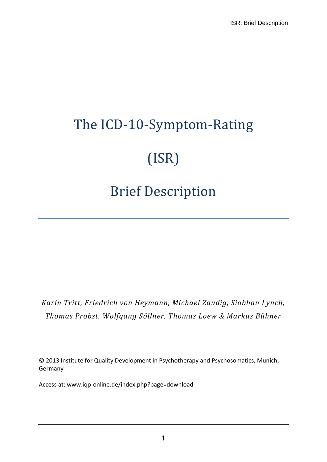# The ICD-10-Symptom-Rating (ISR)

# Brief Description

*Karin Tritt, Friedrich von Heymann, Michael Zaudig, Siobhan Lynch, Thomas Probst, Wolfgang Söllner, Thomas Loew & Markus Bühner*

© 2013 Institute for Quality Development in Psychotherapy and Psychosomatics, Munich, Germany

Access at: www.iqp-online.de/index.php?page=download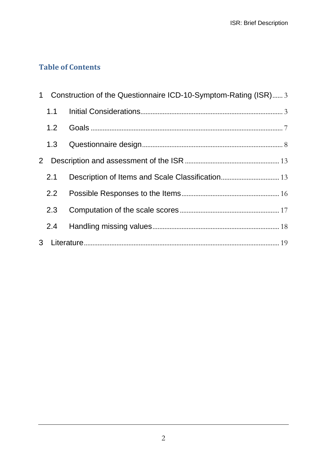# **Table of Contents**

| $\mathbf 1$  |     | Construction of the Questionnaire ICD-10-Symptom-Rating (ISR) 3 |  |
|--------------|-----|-----------------------------------------------------------------|--|
|              | 1.1 |                                                                 |  |
|              | 1.2 |                                                                 |  |
|              | 1.3 |                                                                 |  |
| $\mathbf{2}$ |     |                                                                 |  |
|              | 2.1 |                                                                 |  |
|              | 2.2 |                                                                 |  |
|              | 2.3 |                                                                 |  |
|              | 2.4 |                                                                 |  |
| 3            |     |                                                                 |  |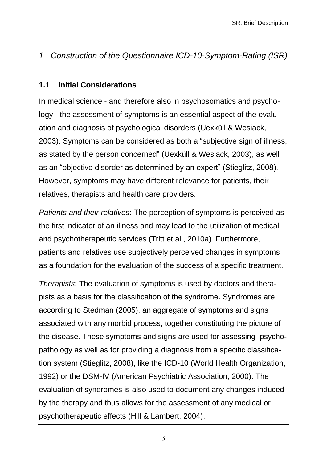# <span id="page-2-0"></span>*1 Construction of the Questionnaire ICD-10-Symptom-Rating (ISR)*

#### <span id="page-2-1"></span>**1.1 Initial Considerations**

In medical science - and therefore also in psychosomatics and psychology - the assessment of symptoms is an essential aspect of the evaluation and diagnosis of psychological disorders (Uexküll & Wesiack, 2003). Symptoms can be considered as both a "subjective sign of illness, as stated by the person concerned" (Uexküll & Wesiack, 2003), as well as an "objective disorder as determined by an expert" (Stieglitz, 2008). However, symptoms may have different relevance for patients, their relatives, therapists and health care providers.

*Patients and their relatives*: The perception of symptoms is perceived as the first indicator of an illness and may lead to the utilization of medical and psychotherapeutic services (Tritt et al., 2010a). Furthermore, patients and relatives use subjectively perceived changes in symptoms as a foundation for the evaluation of the success of a specific treatment.

*Therapists*: The evaluation of symptoms is used by doctors and therapists as a basis for the classification of the syndrome. Syndromes are, according to Stedman (2005), an aggregate of symptoms and signs associated with any morbid process, together constituting the picture of the disease. These symptoms and signs are used for assessing psychopathology as well as for providing a diagnosis from a specific classification system (Stieglitz, 2008), like the ICD-10 (World Health Organization, 1992) or the DSM-IV (American Psychiatric Association, 2000). The evaluation of syndromes is also used to document any changes induced by the therapy and thus allows for the assessment of any medical or psychotherapeutic effects (Hill & Lambert, 2004).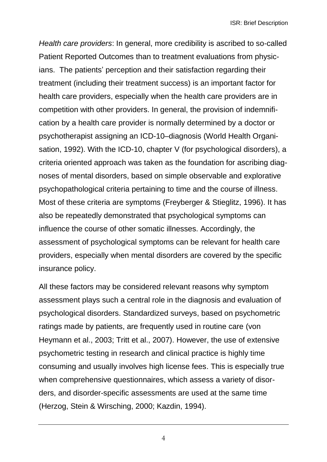*Health care providers*: In general, more credibility is ascribed to so-called Patient Reported Outcomes than to treatment evaluations from physicians. The patients' perception and their satisfaction regarding their treatment (including their treatment success) is an important factor for health care providers, especially when the health care providers are in competition with other providers. In general, the provision of indemnification by a health care provider is normally determined by a doctor or psychotherapist assigning an ICD-10–diagnosis (World Health Organisation, 1992). With the ICD-10, chapter V (for psychological disorders), a criteria oriented approach was taken as the foundation for ascribing diagnoses of mental disorders, based on simple observable and explorative psychopathological criteria pertaining to time and the course of illness. Most of these criteria are symptoms (Freyberger & Stieglitz, 1996). It has also be repeatedly demonstrated that psychological symptoms can influence the course of other somatic illnesses. Accordingly, the assessment of psychological symptoms can be relevant for health care providers, especially when mental disorders are covered by the specific insurance policy.

All these factors may be considered relevant reasons why symptom assessment plays such a central role in the diagnosis and evaluation of psychological disorders. Standardized surveys, based on psychometric ratings made by patients, are frequently used in routine care (von Heymann et al., 2003; Tritt et al., 2007). However, the use of extensive psychometric testing in research and clinical practice is highly time consuming and usually involves high license fees. This is especially true when comprehensive questionnaires, which assess a variety of disorders, and disorder-specific assessments are used at the same time (Herzog, Stein & Wirsching, 2000; Kazdin, 1994).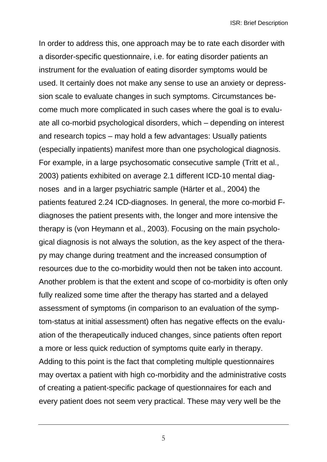In order to address this, one approach may be to rate each disorder with a disorder-specific questionnaire, i.e. for eating disorder patients an instrument for the evaluation of eating disorder symptoms would be used. It certainly does not make any sense to use an anxiety or depresssion scale to evaluate changes in such symptoms. Circumstances become much more complicated in such cases where the goal is to evaluate all co-morbid psychological disorders, which – depending on interest and research topics – may hold a few advantages: Usually patients (especially inpatients) manifest more than one psychological diagnosis. For example, in a large psychosomatic consecutive sample (Tritt et al., 2003) patients exhibited on average 2.1 different ICD-10 mental diagnoses and in a larger psychiatric sample (Härter et al., 2004) the patients featured 2.24 ICD-diagnoses. In general, the more co-morbid Fdiagnoses the patient presents with, the longer and more intensive the therapy is (von Heymann et al., 2003). Focusing on the main psychological diagnosis is not always the solution, as the key aspect of the therapy may change during treatment and the increased consumption of resources due to the co-morbidity would then not be taken into account. Another problem is that the extent and scope of co-morbidity is often only fully realized some time after the therapy has started and a delayed assessment of symptoms (in comparison to an evaluation of the symptom-status at initial assessment) often has negative effects on the evaluation of the therapeutically induced changes, since patients often report a more or less quick reduction of symptoms quite early in therapy. Adding to this point is the fact that completing multiple questionnaires may overtax a patient with high co-morbidity and the administrative costs of creating a patient-specific package of questionnaires for each and every patient does not seem very practical. These may very well be the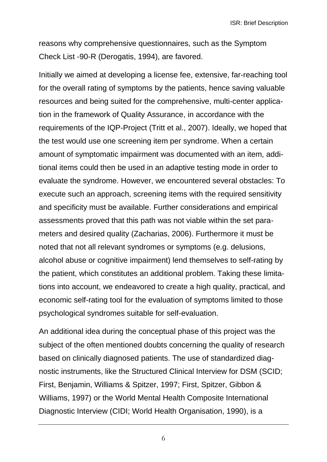ISR: Brief Description

reasons why comprehensive questionnaires, such as the Symptom Check List -90-R (Derogatis, 1994), are favored.

Initially we aimed at developing a license fee, extensive, far-reaching tool for the overall rating of symptoms by the patients, hence saving valuable resources and being suited for the comprehensive, multi-center application in the framework of Quality Assurance, in accordance with the requirements of the IQP-Project (Tritt et al., 2007). Ideally, we hoped that the test would use one screening item per syndrome. When a certain amount of symptomatic impairment was documented with an item, additional items could then be used in an adaptive testing mode in order to evaluate the syndrome. However, we encountered several obstacles: To execute such an approach, screening items with the required sensitivity and specificity must be available. Further considerations and empirical assessments proved that this path was not viable within the set parameters and desired quality (Zacharias, 2006). Furthermore it must be noted that not all relevant syndromes or symptoms (e.g. delusions, alcohol abuse or cognitive impairment) lend themselves to self-rating by the patient, which constitutes an additional problem. Taking these limitations into account, we endeavored to create a high quality, practical, and economic self-rating tool for the evaluation of symptoms limited to those psychological syndromes suitable for self-evaluation.

An additional idea during the conceptual phase of this project was the subject of the often mentioned doubts concerning the quality of research based on clinically diagnosed patients. The use of standardized diagnostic instruments, like the Structured Clinical Interview for DSM (SCID; First, Benjamin, Williams & Spitzer, 1997; First, Spitzer, Gibbon & Williams, 1997) or the World Mental Health Composite International Diagnostic Interview (CIDI; World Health Organisation, 1990), is a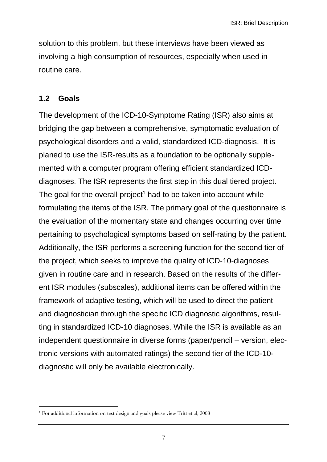solution to this problem, but these interviews have been viewed as involving a high consumption of resources, especially when used in routine care.

#### <span id="page-6-0"></span>**1.2 Goals**

-

The development of the ICD-10-Symptome Rating (ISR) also aims at bridging the gap between a comprehensive, symptomatic evaluation of psychological disorders and a valid, standardized ICD-diagnosis. It is planed to use the ISR-results as a foundation to be optionally supplemented with a computer program offering efficient standardized ICDdiagnoses. The ISR represents the first step in this dual tiered project. The goal for the overall project<sup>1</sup> had to be taken into account while formulating the items of the ISR. The primary goal of the questionnaire is the evaluation of the momentary state and changes occurring over time pertaining to psychological symptoms based on self-rating by the patient. Additionally, the ISR performs a screening function for the second tier of the project, which seeks to improve the quality of ICD-10-diagnoses given in routine care and in research. Based on the results of the different ISR modules (subscales), additional items can be offered within the framework of adaptive testing, which will be used to direct the patient and diagnostician through the specific ICD diagnostic algorithms, resulting in standardized ICD-10 diagnoses. While the ISR is available as an independent questionnaire in diverse forms (paper/pencil – version, electronic versions with automated ratings) the second tier of the ICD-10 diagnostic will only be available electronically.

<sup>1</sup> For additional information on test design and goals please view Tritt et al, 2008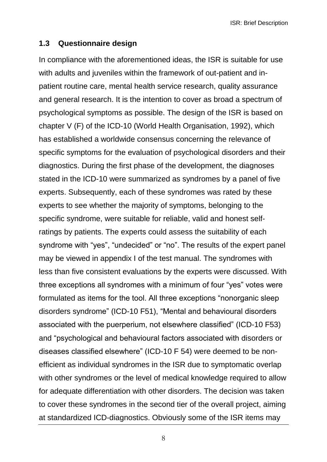ISR: Brief Description

#### <span id="page-7-0"></span>**1.3 Questionnaire design**

In compliance with the aforementioned ideas, the ISR is suitable for use with adults and juveniles within the framework of out-patient and inpatient routine care, mental health service research, quality assurance and general research. It is the intention to cover as broad a spectrum of psychological symptoms as possible. The design of the ISR is based on chapter V (F) of the ICD-10 (World Health Organisation, 1992), which has established a worldwide consensus concerning the relevance of specific symptoms for the evaluation of psychological disorders and their diagnostics. During the first phase of the development, the diagnoses stated in the ICD-10 were summarized as syndromes by a panel of five experts. Subsequently, each of these syndromes was rated by these experts to see whether the majority of symptoms, belonging to the specific syndrome, were suitable for reliable, valid and honest selfratings by patients. The experts could assess the suitability of each syndrome with "yes", "undecided" or "no". The results of the expert panel may be viewed in appendix I of the test manual. The syndromes with less than five consistent evaluations by the experts were discussed. With three exceptions all syndromes with a minimum of four "yes" votes were formulated as items for the tool. All three exceptions "nonorganic sleep disorders syndrome" (ICD-10 F51), "Mental and behavioural disorders associated with the puerperium, not elsewhere classified" (ICD-10 F53) and "psychological and behavioural factors associated with disorders or diseases classified elsewhere" (ICD-10 F 54) were deemed to be nonefficient as individual syndromes in the ISR due to symptomatic overlap with other syndromes or the level of medical knowledge required to allow for adequate differentiation with other disorders. The decision was taken to cover these syndromes in the second tier of the overall project, aiming at standardized ICD-diagnostics. Obviously some of the ISR items may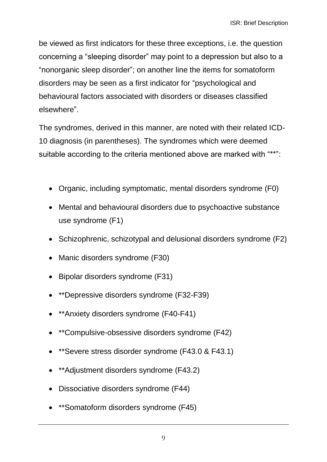be viewed as first indicators for these three exceptions, i.e. the question concerning a "sleeping disorder" may point to a depression but also to a "nonorganic sleep disorder"; on another line the items for somatoform disorders may be seen as a first indicator for "psychological and behavioural factors associated with disorders or diseases classified elsewhere".

The syndromes, derived in this manner, are noted with their related ICD-10 diagnosis (in parentheses). The syndromes which were deemed suitable according to the criteria mentioned above are marked with "\*\*":

- Organic, including symptomatic, mental disorders syndrome (F0)
- Mental and behavioural disorders due to psychoactive substance use syndrome (F1)
- Schizophrenic, schizotypal and delusional disorders syndrome (F2)
- Manic disorders syndrome (F30)
- Bipolar disorders syndrome (F31)
- \*\*Depressive disorders syndrome (F32-F39)
- \*\*Anxiety disorders syndrome (F40-F41)
- \*\*Compulsive-obsessive disorders syndrome (F42)
- \*\*Severe stress disorder syndrome (F43.0 & F43.1)
- \*\*Adjustment disorders syndrome (F43.2)
- Dissociative disorders syndrome (F44)
- \*\*Somatoform disorders syndrome (F45)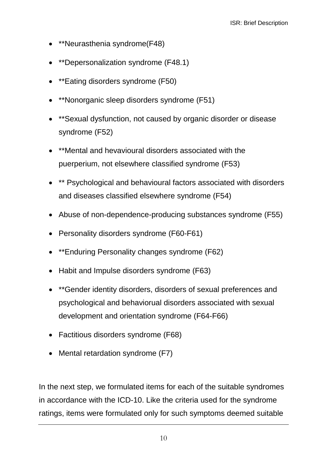- \*\*Neurasthenia syndrome(F48)
- \*\*Depersonalization syndrome (F48.1)
- \*\*Eating disorders syndrome (F50)
- \*\*Nonorganic sleep disorders syndrome (F51)
- \*\*Sexual dysfunction, not caused by organic disorder or disease syndrome (F52)
- \*\*Mental and hevavioural disorders associated with the puerperium, not elsewhere classified syndrome (F53)
- \*\* Psychological and behavioural factors associated with disorders and diseases classified elsewhere syndrome (F54)
- Abuse of non-dependence-producing substances syndrome (F55)
- Personality disorders syndrome (F60-F61)
- \*\*Enduring Personality changes syndrome (F62)
- Habit and Impulse disorders syndrome (F63)
- \*\*Gender identity disorders, disorders of sexual preferences and psychological and behaviorual disorders associated with sexual development and orientation syndrome (F64-F66)
- Factitious disorders syndrome (F68)
- Mental retardation syndrome (F7)

In the next step, we formulated items for each of the suitable syndromes in accordance with the ICD-10. Like the criteria used for the syndrome ratings, items were formulated only for such symptoms deemed suitable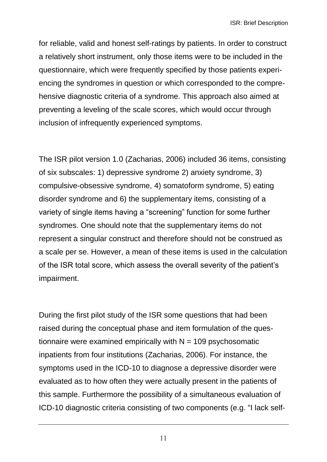for reliable, valid and honest self-ratings by patients. In order to construct a relatively short instrument, only those items were to be included in the questionnaire, which were frequently specified by those patients experiencing the syndromes in question or which corresponded to the comprehensive diagnostic criteria of a syndrome. This approach also aimed at preventing a leveling of the scale scores, which would occur through inclusion of infrequently experienced symptoms.

The ISR pilot version 1.0 (Zacharias, 2006) included 36 items, consisting of six subscales: 1) depressive syndrome 2) anxiety syndrome, 3) compulsive-obsessive syndrome, 4) somatoform syndrome, 5) eating disorder syndrome and 6) the supplementary items, consisting of a variety of single items having a "screening" function for some further syndromes. One should note that the supplementary items do not represent a singular construct and therefore should not be construed as a scale per se. However, a mean of these items is used in the calculation of the ISR total score, which assess the overall severity of the patient's impairment.

During the first pilot study of the ISR some questions that had been raised during the conceptual phase and item formulation of the questionnaire were examined empirically with  $N = 109$  psychosomatic inpatients from four institutions (Zacharias, 2006). For instance, the symptoms used in the ICD-10 to diagnose a depressive disorder were evaluated as to how often they were actually present in the patients of this sample. Furthermore the possibility of a simultaneous evaluation of ICD-10 diagnostic criteria consisting of two components (e.g. "I lack self-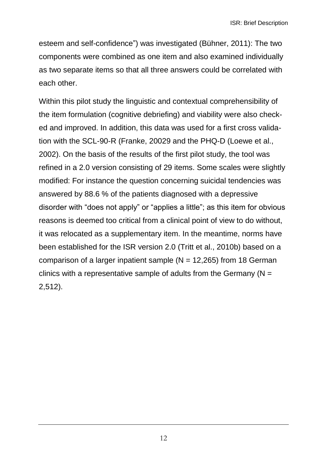esteem and self-confidence") was investigated (Bühner, 2011): The two components were combined as one item and also examined individually as two separate items so that all three answers could be correlated with each other.

Within this pilot study the linguistic and contextual comprehensibility of the item formulation (cognitive debriefing) and viability were also checked and improved. In addition, this data was used for a first cross validation with the SCL-90-R (Franke, 20029 and the PHQ-D (Loewe et al., 2002). On the basis of the results of the first pilot study, the tool was refined in a 2.0 version consisting of 29 items. Some scales were slightly modified: For instance the question concerning suicidal tendencies was answered by 88.6 % of the patients diagnosed with a depressive disorder with "does not apply" or "applies a little"; as this item for obvious reasons is deemed too critical from a clinical point of view to do without, it was relocated as a supplementary item. In the meantime, norms have been established for the ISR version 2.0 (Tritt et al., 2010b) based on a comparison of a larger inpatient sample  $(N = 12,265)$  from 18 German clinics with a representative sample of adults from the Germany ( $N =$ 2,512).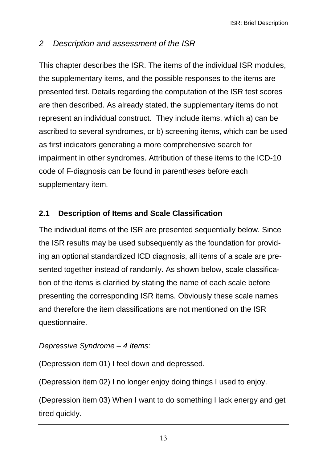# <span id="page-12-0"></span>*2 Description and assessment of the ISR*

This chapter describes the ISR. The items of the individual ISR modules, the supplementary items, and the possible responses to the items are presented first. Details regarding the computation of the ISR test scores are then described. As already stated, the supplementary items do not represent an individual construct. They include items, which a) can be ascribed to several syndromes, or b) screening items, which can be used as first indicators generating a more comprehensive search for impairment in other syndromes. Attribution of these items to the ICD-10 code of F-diagnosis can be found in parentheses before each supplementary item.

# <span id="page-12-1"></span>**2.1 Description of Items and Scale Classification**

The individual items of the ISR are presented sequentially below. Since the ISR results may be used subsequently as the foundation for providing an optional standardized ICD diagnosis, all items of a scale are presented together instead of randomly. As shown below, scale classification of the items is clarified by stating the name of each scale before presenting the corresponding ISR items. Obviously these scale names and therefore the item classifications are not mentioned on the ISR questionnaire.

#### *Depressive Syndrome – 4 Items:*

(Depression item 01) I feel down and depressed.

(Depression item 02) I no longer enjoy doing things I used to enjoy.

(Depression item 03) When I want to do something I lack energy and get tired quickly.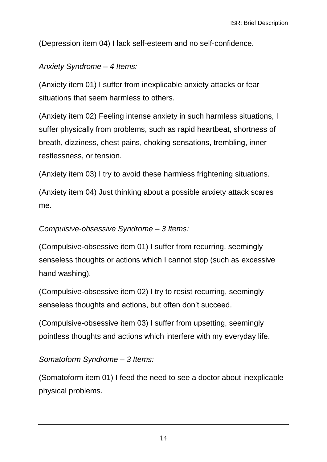(Depression item 04) I lack self-esteem and no self-confidence.

#### *Anxiety Syndrome – 4 Items:*

(Anxiety item 01) I suffer from inexplicable anxiety attacks or fear situations that seem harmless to others.

(Anxiety item 02) Feeling intense anxiety in such harmless situations, I suffer physically from problems, such as rapid heartbeat, shortness of breath, dizziness, chest pains, choking sensations, trembling, inner restlessness, or tension.

(Anxiety item 03) I try to avoid these harmless frightening situations.

(Anxiety item 04) Just thinking about a possible anxiety attack scares me.

#### *Compulsive-obsessive Syndrome – 3 Items:*

(Compulsive-obsessive item 01) I suffer from recurring, seemingly senseless thoughts or actions which I cannot stop (such as excessive hand washing).

(Compulsive-obsessive item 02) I try to resist recurring, seemingly senseless thoughts and actions, but often don't succeed.

(Compulsive-obsessive item 03) I suffer from upsetting, seemingly pointless thoughts and actions which interfere with my everyday life.

#### *Somatoform Syndrome – 3 Items:*

(Somatoform item 01) I feed the need to see a doctor about inexplicable physical problems.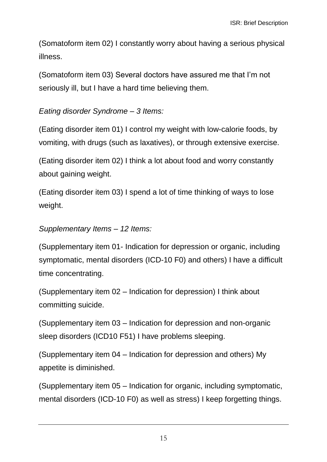(Somatoform item 02) I constantly worry about having a serious physical illness.

(Somatoform item 03) Several doctors have assured me that I'm not seriously ill, but I have a hard time believing them.

#### *Eating disorder Syndrome – 3 Items:*

(Eating disorder item 01) I control my weight with low-calorie foods, by vomiting, with drugs (such as laxatives), or through extensive exercise.

(Eating disorder item 02) I think a lot about food and worry constantly about gaining weight.

(Eating disorder item 03) I spend a lot of time thinking of ways to lose weight.

### *Supplementary Items – 12 Items:*

(Supplementary item 01- Indication for depression or organic, including symptomatic, mental disorders (ICD-10 F0) and others) I have a difficult time concentrating.

(Supplementary item 02 – Indication for depression) I think about committing suicide.

(Supplementary item 03 – Indication for depression and non-organic sleep disorders (ICD10 F51) I have problems sleeping.

(Supplementary item 04 – Indication for depression and others) My appetite is diminished.

(Supplementary item 05 – Indication for organic, including symptomatic, mental disorders (ICD-10 F0) as well as stress) I keep forgetting things.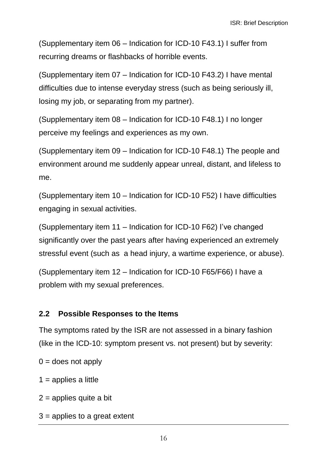(Supplementary item 06 – Indication for ICD-10 F43.1) I suffer from recurring dreams or flashbacks of horrible events.

(Supplementary item 07 – Indication for ICD-10 F43.2) I have mental difficulties due to intense everyday stress (such as being seriously ill, losing my job, or separating from my partner).

(Supplementary item 08 – Indication for ICD-10 F48.1) I no longer perceive my feelings and experiences as my own.

(Supplementary item 09 – Indication for ICD-10 F48.1) The people and environment around me suddenly appear unreal, distant, and lifeless to me.

(Supplementary item 10 – Indication for ICD-10 F52) I have difficulties engaging in sexual activities.

(Supplementary item 11 – Indication for ICD-10 F62) I've changed significantly over the past years after having experienced an extremely stressful event (such as a head injury, a wartime experience, or abuse).

(Supplementary item 12 – Indication for ICD-10 F65/F66) I have a problem with my sexual preferences.

#### <span id="page-15-0"></span>**2.2 Possible Responses to the Items**

The symptoms rated by the ISR are not assessed in a binary fashion (like in the ICD-10: symptom present vs. not present) but by severity:

 $0 =$  does not apply

- $1$  = applies a little
- $2$  = applies quite a bit
- $3$  = applies to a great extent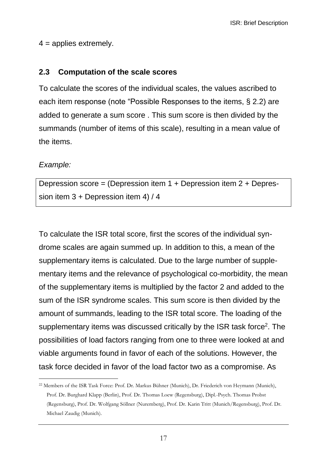$4 =$  applies extremely.

#### <span id="page-16-0"></span>**2.3 Computation of the scale scores**

To calculate the scores of the individual scales, the values ascribed to each item response (note "Possible Responses to the items, § 2.2) are added to generate a sum score . This sum score is then divided by the summands (number of items of this scale), resulting in a mean value of the items.

#### *Example:*

Depression score = (Depression item 1 + Depression item 2 + Depression item 3 + Depression item 4) / 4

To calculate the ISR total score, first the scores of the individual syndrome scales are again summed up. In addition to this, a mean of the supplementary items is calculated. Due to the large number of supplementary items and the relevance of psychological co-morbidity, the mean of the supplementary items is multiplied by the factor 2 and added to the sum of the ISR syndrome scales. This sum score is then divided by the amount of summands, leading to the ISR total score. The loading of the supplementary items was discussed critically by the ISR task force<sup>2</sup>. The possibilities of load factors ranging from one to three were looked at and viable arguments found in favor of each of the solutions. However, the task force decided in favor of the load factor two as a compromise. As

<sup>-</sup><sup>22</sup> Members of the ISR Task Force: Prof. Dr. Markus Bühner (Munich), Dr. Friederich von Heymann (Munich), Prof. Dr. Burghard Klapp (Berlin), Prof. Dr. Thomas Loew (Regensburg), Dipl.-Psych. Thomas Probst (Regensburg), Prof. Dr. Wolfgang Söllner (Nuremberg), Prof. Dr. Karin Tritt (Munich/Regensburg), Prof. Dr. Michael Zaudig (Munich).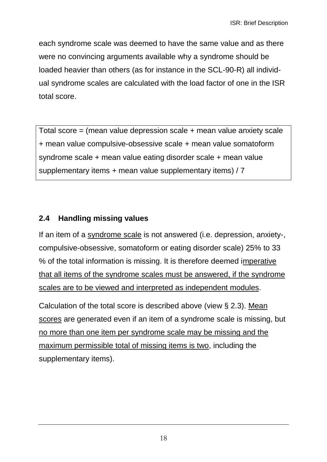each syndrome scale was deemed to have the same value and as there were no convincing arguments available why a syndrome should be loaded heavier than others (as for instance in the SCL-90-R) all individual syndrome scales are calculated with the load factor of one in the ISR total score.

Total score = (mean value depression scale + mean value anxiety scale + mean value compulsive-obsessive scale + mean value somatoform syndrome scale + mean value eating disorder scale + mean value supplementary items + mean value supplementary items) / 7

# <span id="page-17-0"></span>**2.4 Handling missing values**

If an item of a syndrome scale is not answered (i.e. depression, anxiety-, compulsive-obsessive, somatoform or eating disorder scale) 25% to 33 % of the total information is missing. It is therefore deemed imperative that all items of the syndrome scales must be answered, if the syndrome scales are to be viewed and interpreted as independent modules.

Calculation of the total score is described above (view § 2.3). Mean scores are generated even if an item of a syndrome scale is missing, but no more than one item per syndrome scale may be missing and the maximum permissible total of missing items is two, including the supplementary items).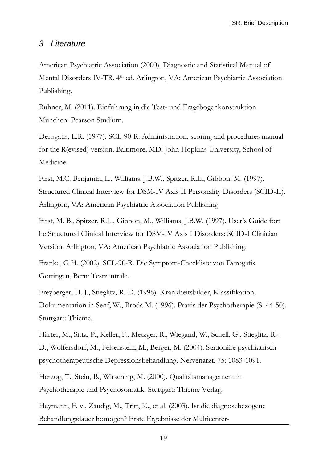ISR: Brief Description

#### <span id="page-18-0"></span>*3 Literature*

American Psychiatric Association (2000). Diagnostic and Statistical Manual of Mental Disorders IV-TR. 4<sup>th</sup> ed. Arlington, VA: American Psychiatric Association Publishing.

Bühner, M. (2011). Einführung in die Test- und Fragebogenkonstruktion. München: Pearson Studium.

Derogatis, L.R. (1977). SCL-90-R: Administration, scoring and procedures manual for the R(evised) version. Baltimore, MD: John Hopkins University, School of Medicine.

First, M.C. Benjamin, L., Williams, J.B.W., Spitzer, R.L., Gibbon, M. (1997). Structured Clinical Interview for DSM-IV Axis II Personality Disorders (SCID-II). Arlington, VA: American Psychiatric Association Publishing.

First, M. B., Spitzer, R.L., Gibbon, M., Williams, J.B.W. (1997). User's Guide fort he Structured Clinical Interview for DSM-IV Axis I Disorders: SCID-I Clinician Version. Arlington, VA: American Psychiatric Association Publishing.

Franke, G.H. (2002). SCL-90-R. Die Symptom-Checkliste von Derogatis. Göttingen, Bern: Testzentrale.

Freyberger, H. J., Stieglitz, R.-D. (1996). Krankheitsbilder, Klassifikation, Dokumentation in Senf, W., Broda M. (1996). Praxis der Psychotherapie (S. 44-50). Stuttgart: Thieme.

Härter, M., Sitta, P., Keller, F., Metzger, R., Wiegand, W., Schell, G., Stieglitz, R.- D., Wolfersdorf, M., Felsenstein, M., Berger, M. (2004). Stationäre psychiatrischpsychotherapeutische Depressionsbehandlung. Nervenarzt. 75: 1083-1091.

Herzog, T., Stein, B., Wirsching, M. (2000). Qualitätsmanagement in Psychotherapie und Psychosomatik. Stuttgart: Thieme Verlag.

Heymann, F. v., Zaudig, M., Tritt, K., et al. (2003). Ist die diagnosebezogene Behandlungsdauer homogen? Erste Ergebnisse der Multicenter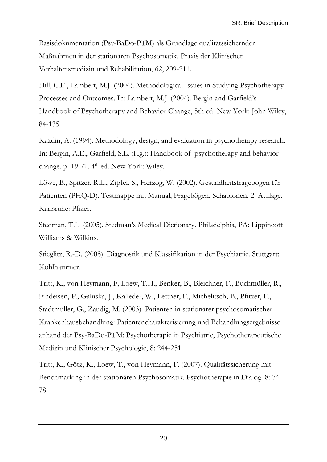Basisdokumentation (Psy-BaDo-PTM) als Grundlage qualitätssichernder Maßnahmen in der stationären Psychosomatik. Praxis der Klinischen Verhaltensmedizin und Rehabilitation, 62, 209-211.

Hill, C.E., Lambert, M.J. (2004). Methodological Issues in Studying Psychotherapy Processes and Outcomes. In: Lambert, M.J. (2004). Bergin and Garfield's Handbook of Psychotherapy and Behavior Change, 5th ed. New York: John Wiley, 84-135.

Kazdin, A. (1994). Methodology, design, and evaluation in psychotherapy research. In: Bergin, A.E., Garfield, S.L. (Hg.): Handbook of psychotherapy and behavior change. p. 19-71. 4<sup>th</sup> ed. New York: Wiley.

Löwe, B., Spitzer, R.L., Zipfel, S., Herzog, W. (2002). Gesundheitsfragebogen für Patienten (PHQ-D). Testmappe mit Manual, Fragebögen, Schablonen. 2. Auflage. Karlsruhe: Pfizer.

Stedman, T.L. (2005). Stedman's Medical Dictionary. Philadelphia, PA: Lippincott Williams & Wilkins.

Stieglitz, R.-D. (2008). Diagnostik und Klassifikation in der Psychiatrie. Stuttgart: Kohlhammer.

Tritt, K., von Heymann, F, Loew, T.H., Benker, B., Bleichner, F., Buchmüller, R., Findeisen, P., Galuska, J., Kalleder, W., Lettner, F., Michelitsch, B., Pfitzer, F., Stadtmüller, G., Zaudig, M. (2003). Patienten in stationärer psychosomatischer Krankenhausbehandlung: Patientencharakterisierung und Behandlungsergebnisse anhand der Psy-BaDo-PTM: Psychotherapie in Psychiatrie, Psychotherapeutische Medizin und Klinischer Psychologie, 8: 244-251.

Tritt, K., Götz, K., Loew, T., von Heymann, F. (2007). Qualitätssicherung mit Benchmarking in der stationären Psychosomatik. Psychotherapie in Dialog. 8: 74- 78.